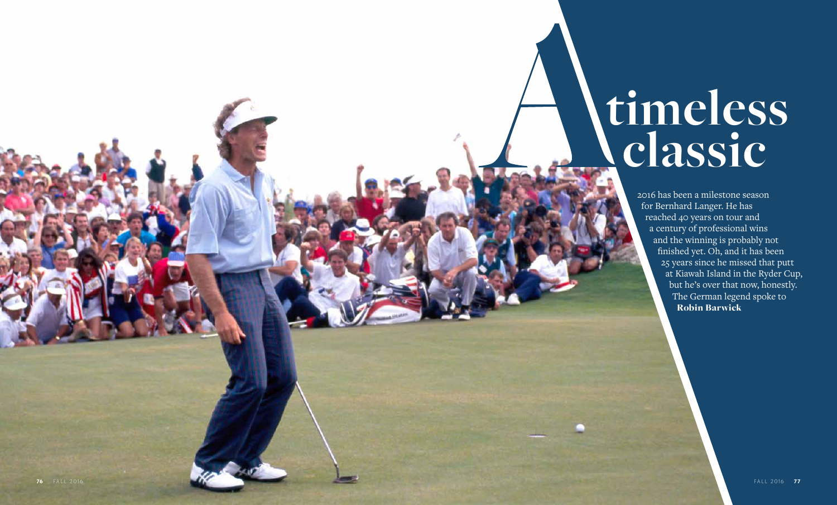

2016 has been a milestone season for Bernhard Langer. He has reached 40 years on tour and a century of professional wins and the winning is probably not finished yet. Oh, and it has been 25 years since he missed that putt at Kiawah Island in the Ryder Cup, but he's over that now, honestly. The German legend spoke to Robin Barwick

## **timeless classic**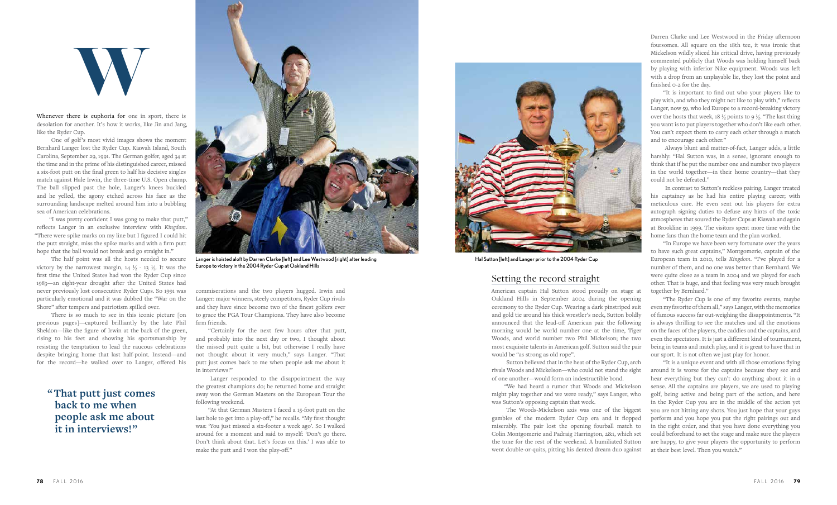Whenever there is euphoria for one in sport, there is desolation for another. It's how it works, like Jin and Jang, like the Ryder Cup.

One of golf's most vivid images shows the moment Bernhard Langer lost the Ryder Cup. Kiawah Island, South Carolina, September 29, 1991. The German golfer, aged 34 at the time and in the prime of his distinguished career, missed a six-foot putt on the final green to half his decisive singles match against Hale Irwin, the three-time U.S. Open champ. The ball slipped past the hole, Langer's knees buckled and he yelled, the agony etched across his face as the surrounding landscape melted around him into a bubbling sea of American celebrations.

"I was pretty confident I was gong to make that putt," reflects Langer in an exclusive interview with *Kingdom*. "There were spike marks on my line but I figured I could hit the putt straight, miss the spike marks and with a firm putt hope that the ball would not break and go straight in."

The half point was all the hosts needed to secure victory by the narrowest margin,  $14\frac{1}{2}$  -  $13\frac{1}{2}$ . It was the first time the United States had won the Ryder Cup since 1983—an eight-year drought after the United States had never previously lost consecutive Ryder Cups. So 1991 was particularly emotional and it was dubbed the "War on the Shore" after tempers and patriotism spilled over.

There is so much to see in this iconic picture [on previous pages]—captured brilliantly by the late Phil Sheldon—like the figure of Irwin at the back of the green, rising to his feet and showing his sportsmanship by resisting the temptation to lead the raucous celebrations despite bringing home that last half-point. Instead—and for the record—he walked over to Langer, offered his

commiserations and the two players hugged. Irwin and Langer: major winners, steely competitors, Ryder Cup rivals and they have since become two of the finest golfers ever to grace the PGA Tour Champions. They have also become firm friends.

"Certainly for the next few hours after that putt, and probably into the next day or two, I thought about the missed putt quite a bit, but otherwise I really have not thought about it very much," says Langer. "That putt just comes back to me when people ask me about it in interviews!"

Langer responded to the disappointment the way the greatest champions do; he returned home and straight away won the German Masters on the European Tour the following weekend.

"At that German Masters I faced a 15-foot putt on the last hole to get into a play-off," he recalls. "My first thought was: 'You just missed a six-footer a week ago'. So I walked around for a moment and said to myself: 'Don't go there. Don't think about that. Let's focus on this.' I was able to make the putt and I won the play-off."

## Setting the record straight

American captain Hal Sutton stood proudly on stage at Oakland Hills in September 2004 during the opening ceremony to the Ryder Cup. Wearing a dark pinstriped suit and gold tie around his thick wrestler's neck, Sutton boldly announced that the lead-off American pair the following morning would be world number one at the time, Tiger Woods, and world number two Phil Mickelson; the two most exquisite talents in American golf. Sutton said the pair would be "as strong as old rope".

Sutton believed that in the heat of the Ryder Cup, arch rivals Woods and Mickelson—who could not stand the sight of one another—would form an indestructible bond.

"We had heard a rumor that Woods and Mickelson might play together and we were ready," says Langer, who was Sutton's opposing captain that week.

The Woods-Mickelson axis was one of the biggest gambles of the modern Ryder Cup era and it flopped miserably. The pair lost the opening fourball match to Colin Montgomerie and Padraig Harrington, 2&1, which set the tone for the rest of the weekend. A humiliated Sutton went double-or-quits, pitting his dented dream duo against

Darren Clarke and Lee Westwood in the Friday afternoon foursomes. All square on the 18th tee, it was ironic that Mickelson wildly sliced his critical drive, having previously commented publicly that Woods was holding himself back by playing with inferior Nike equipment. Woods was left with a drop from an unplayable lie, they lost the point and finished 0-2 for the day.

"It is important to find out who your players like to play with, and who they might not like to play with," reflects Langer, now 59, who led Europe to a record-breaking victory over the hosts that week, 18  $\frac{1}{2}$  points to 9  $\frac{1}{2}$ . "The last thing you want is to put players together who don't like each other. You can't expect them to carry each other through a match and to encourage each other."

Always blunt and matter-of-fact, Langer adds, a little harshly: "Hal Sutton was, in a sense, ignorant enough to think that if he put the number one and number two players in the world together—in their home country—that they could not be defeated."

In contrast to Sutton's reckless pairing, Langer treated his captaincy as he had his entire playing career; with meticulous care. He even sent out his players for extra autograph signing duties to defuse any hints of the toxic atmospheres that soured the Ryder Cups at Kiawah and again at Brookline in 1999. The visitors spent more time with the home fans than the home team and the plan worked.

"In Europe we have been very fortunate over the years to have such great captains," Montgomerie, captain of the European team in 2010, tells *Kingdom*. "I've played for a number of them, and no one was better than Bernhard. We were quite close as a team in 2004 and we played for each other. That is huge, and that feeling was very much brought together by Bernhard."

"The Ryder Cup is one of my favorite events, maybe even my favorite of them all," says Langer, with the memories of famous success far out-weighing the disappointments. "It is always thrilling to see the matches and all the emotions on the faces of the players, the caddies and the captains, and even the spectators. It is just a different kind of tournament, being in teams and match play, and it is great to have that in our sport. It is not often we just play for honor.

"It is a unique event and with all those emotions flying around it is worse for the captains because they see and hear everything but they can't do anything about it in a sense. All the captains are players, we are used to playing golf, being active and being part of the action, and here in the Ryder Cup you are in the middle of the action yet you are not hitting any shots. You just hope that your guys perform and you hope you put the right pairings out and in the right order, and that you have done everything you could beforehand to set the stage and make sure the players are happy, to give your players the opportunity to perform at their best level. Then you watch."





Langer is hoisted aloft by Darren Clarke [left] and Lee Westwood [right] after leading Europe to victory in the 2004 Ryder Cup at Oakland Hills

**" That putt just comes back to me when people ask me about it in interviews!"**



Hal Sutton [left] and Langer prior to the 2004 Ryder Cup